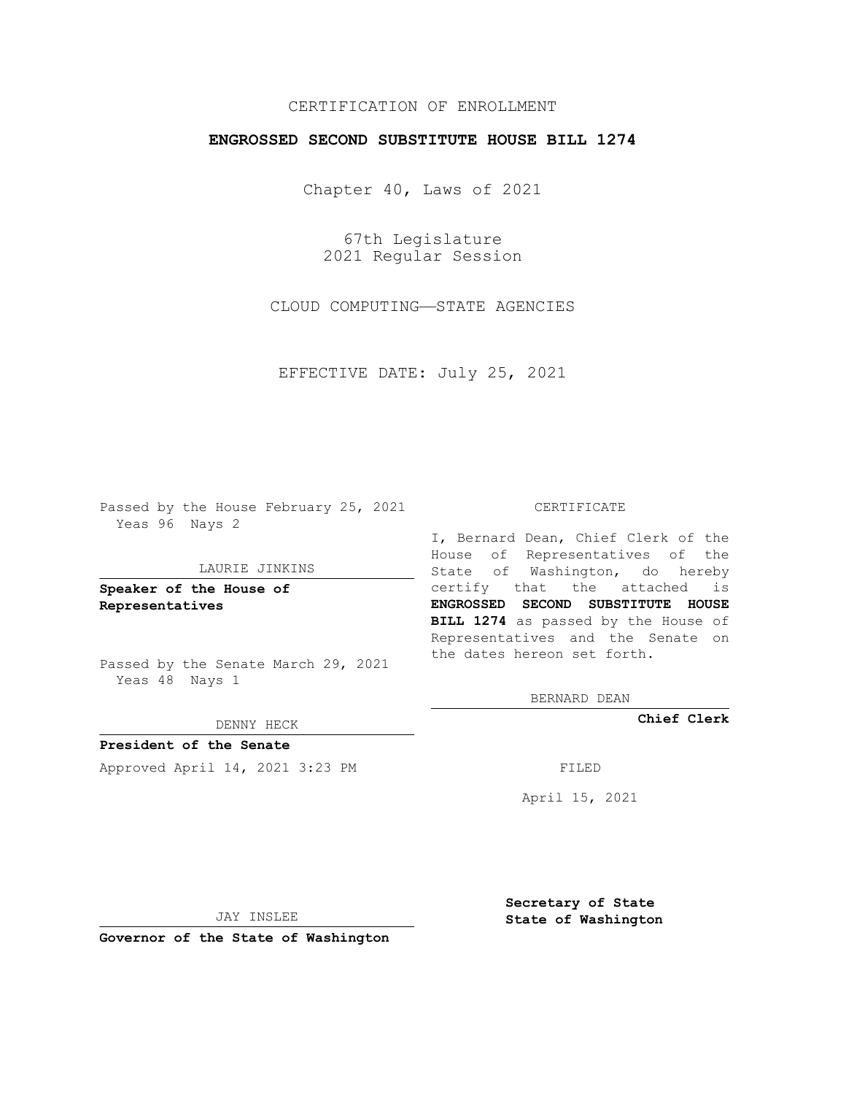# CERTIFICATION OF ENROLLMENT

## **ENGROSSED SECOND SUBSTITUTE HOUSE BILL 1274**

Chapter 40, Laws of 2021

67th Legislature 2021 Regular Session

CLOUD COMPUTING—STATE AGENCIES

EFFECTIVE DATE: July 25, 2021

Passed by the House February 25, 2021 Yeas 96 Nays 2

### LAURIE JINKINS

**Speaker of the House of Representatives**

Passed by the Senate March 29, 2021 Yeas 48 Nays 1

#### DENNY HECK

**President of the Senate** Approved April 14, 2021 3:23 PM FILED

#### CERTIFICATE

I, Bernard Dean, Chief Clerk of the House of Representatives of the State of Washington, do hereby certify that the attached is **ENGROSSED SECOND SUBSTITUTE HOUSE BILL 1274** as passed by the House of Representatives and the Senate on the dates hereon set forth.

BERNARD DEAN

**Chief Clerk**

April 15, 2021

JAY INSLEE

**Governor of the State of Washington**

**Secretary of State State of Washington**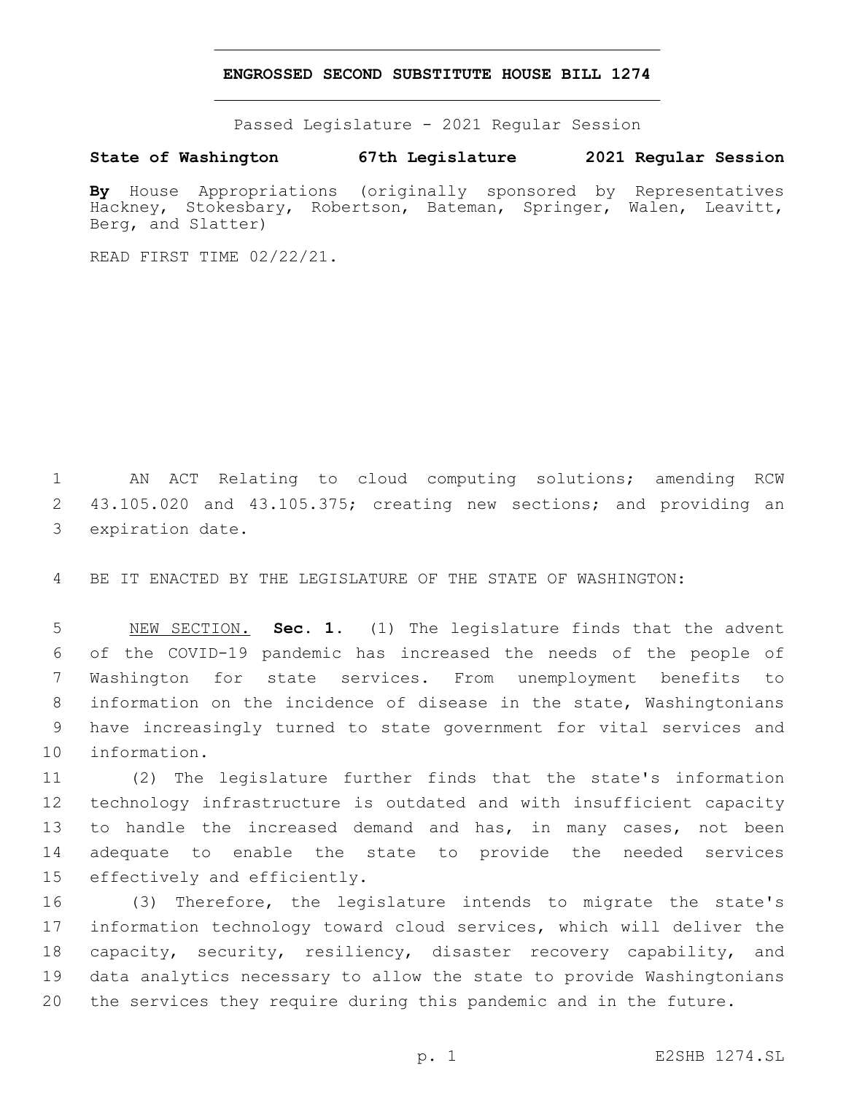### **ENGROSSED SECOND SUBSTITUTE HOUSE BILL 1274**

Passed Legislature - 2021 Regular Session

**State of Washington 67th Legislature 2021 Regular Session**

**By** House Appropriations (originally sponsored by Representatives Hackney, Stokesbary, Robertson, Bateman, Springer, Walen, Leavitt, Berg, and Slatter)

READ FIRST TIME 02/22/21.

 AN ACT Relating to cloud computing solutions; amending RCW 43.105.020 and 43.105.375; creating new sections; and providing an 3 expiration date.

BE IT ENACTED BY THE LEGISLATURE OF THE STATE OF WASHINGTON:

 NEW SECTION. **Sec. 1.** (1) The legislature finds that the advent of the COVID-19 pandemic has increased the needs of the people of Washington for state services. From unemployment benefits to information on the incidence of disease in the state, Washingtonians have increasingly turned to state government for vital services and information.

 (2) The legislature further finds that the state's information technology infrastructure is outdated and with insufficient capacity 13 to handle the increased demand and has, in many cases, not been adequate to enable the state to provide the needed services 15 effectively and efficiently.

 (3) Therefore, the legislature intends to migrate the state's information technology toward cloud services, which will deliver the capacity, security, resiliency, disaster recovery capability, and data analytics necessary to allow the state to provide Washingtonians the services they require during this pandemic and in the future.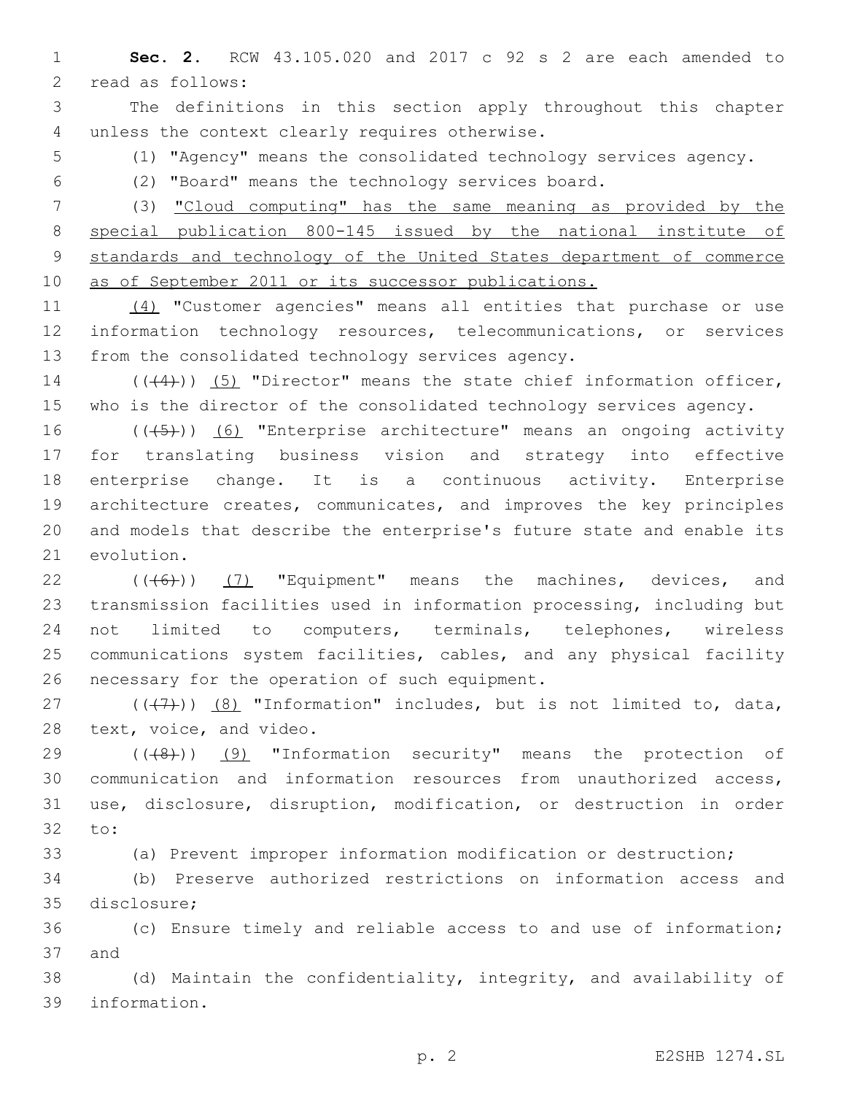1 **Sec. 2.** RCW 43.105.020 and 2017 c 92 s 2 are each amended to 2 read as follows:

3 The definitions in this section apply throughout this chapter 4 unless the context clearly requires otherwise.

5 (1) "Agency" means the consolidated technology services agency.

6 (2) "Board" means the technology services board.

 (3) "Cloud computing" has the same meaning as provided by the special publication 800-145 issued by the national institute of standards and technology of the United States department of commerce as of September 2011 or its successor publications.

11 (4) "Customer agencies" means all entities that purchase or use 12 information technology resources, telecommunications, or services 13 from the consolidated technology services agency.

14 (((4))) (5) "Director" means the state chief information officer, 15 who is the director of the consolidated technology services agency.

16 (((5)) (6) "Enterprise architecture" means an ongoing activity for translating business vision and strategy into effective enterprise change. It is a continuous activity. Enterprise architecture creates, communicates, and improves the key principles and models that describe the enterprise's future state and enable its 21 evolution.

 $((\langle 6 \rangle) )$  (7) "Equipment" means the machines, devices, and transmission facilities used in information processing, including but not limited to computers, terminals, telephones, wireless communications system facilities, cables, and any physical facility 26 necessary for the operation of such equipment.

27  $((+7+))$   $(8)$  "Information" includes, but is not limited to, data, 28 text, voice, and video.

29 (((8)) (9) "Information security" means the protection of 30 communication and information resources from unauthorized access, 31 use, disclosure, disruption, modification, or destruction in order 32 to:

33 (a) Prevent improper information modification or destruction;

34 (b) Preserve authorized restrictions on information access and 35 disclosure;

36 (c) Ensure timely and reliable access to and use of information; 37 and

38 (d) Maintain the confidentiality, integrity, and availability of 39 information.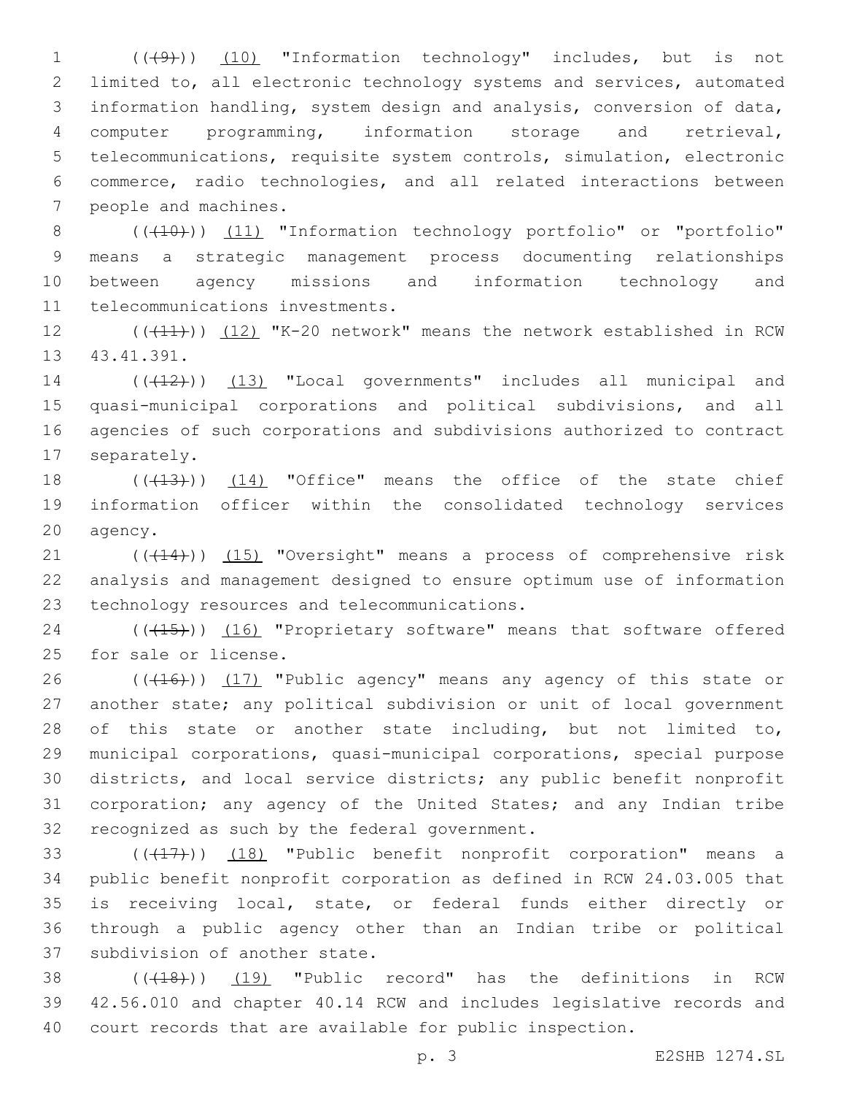1 (( $(49)$ )) (10) "Information technology" includes, but is not limited to, all electronic technology systems and services, automated information handling, system design and analysis, conversion of data, computer programming, information storage and retrieval, telecommunications, requisite system controls, simulation, electronic commerce, radio technologies, and all related interactions between 7 people and machines.

8 (( $(410)$ ) (11) "Information technology portfolio" or "portfolio" 9 means a strategic management process documenting relationships 10 between agency missions and information technology and 11 telecommunications investments.

12 (((41))) (12) "K-20 network" means the network established in RCW 13 43.41.391.

14 (((12))) (13) "Local governments" includes all municipal and 15 quasi-municipal corporations and political subdivisions, and all 16 agencies of such corporations and subdivisions authorized to contract 17 separately.

18 (( $(13)$ )) (14) "Office" means the office of the state chief 19 information officer within the consolidated technology services 20 agency.

21 (((414))) (15) "Oversight" means a process of comprehensive risk 22 analysis and management designed to ensure optimum use of information 23 technology resources and telecommunications.

24 (((15)) (16) "Proprietary software" means that software offered 25 for sale or license.

26 (((416))) (17) "Public agency" means any agency of this state or another state; any political subdivision or unit of local government of this state or another state including, but not limited to, municipal corporations, quasi-municipal corporations, special purpose districts, and local service districts; any public benefit nonprofit corporation; any agency of the United States; and any Indian tribe 32 recognized as such by the federal government.

33 (((417))) (18) "Public benefit nonprofit corporation" means a 34 public benefit nonprofit corporation as defined in RCW 24.03.005 that 35 is receiving local, state, or federal funds either directly or 36 through a public agency other than an Indian tribe or political 37 subdivision of another state.

38 (((18))) (19) "Public record" has the definitions in RCW 39 42.56.010 and chapter 40.14 RCW and includes legislative records and 40 court records that are available for public inspection.

p. 3 E2SHB 1274.SL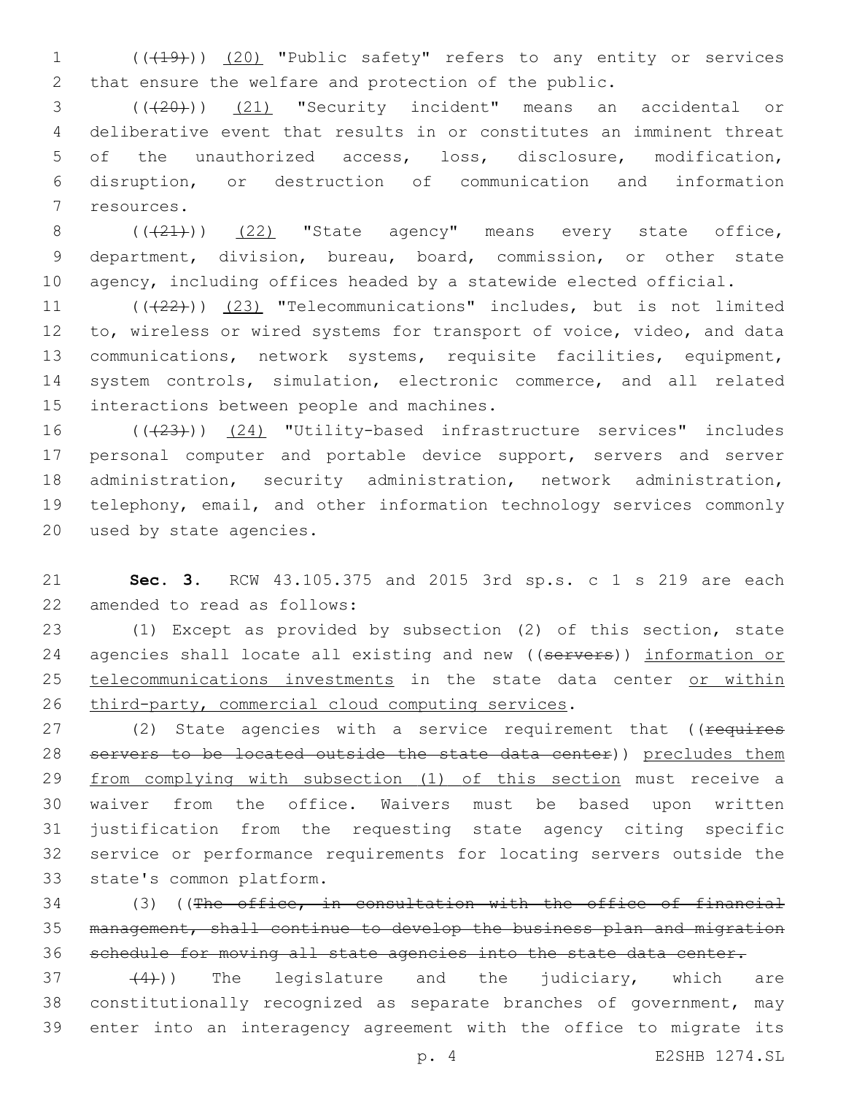1 (( $(19)$ )) (20) "Public safety" refers to any entity or services 2 that ensure the welfare and protection of the public.

 (((20))) (21) "Security incident" means an accidental or deliberative event that results in or constitutes an imminent threat of the unauthorized access, loss, disclosure, modification, disruption, or destruction of communication and information 7 resources.

8  $((+21+))$   $(22)$  "State agency" means every state office, 9 department, division, bureau, board, commission, or other state 10 agency, including offices headed by a statewide elected official.

11 (((22))) (23) "Telecommunications" includes, but is not limited 12 to, wireless or wired systems for transport of voice, video, and data 13 communications, network systems, requisite facilities, equipment, 14 system controls, simulation, electronic commerce, and all related 15 interactions between people and machines.

16 (( $(23)$ )) (24) "Utility-based infrastructure services" includes 17 personal computer and portable device support, servers and server 18 administration, security administration, network administration, 19 telephony, email, and other information technology services commonly 20 used by state agencies.

21 **Sec. 3.** RCW 43.105.375 and 2015 3rd sp.s. c 1 s 219 are each 22 amended to read as follows:

23 (1) Except as provided by subsection (2) of this section, state 24 agencies shall locate all existing and new ((servers)) information or 25 telecommunications investments in the state data center or within 26 third-party, commercial cloud computing services.

27 (2) State agencies with a service requirement that ((requires 28 servers to be located outside the state data center)) precludes them 29 from complying with subsection (1) of this section must receive a 30 waiver from the office. Waivers must be based upon written 31 justification from the requesting state agency citing specific 32 service or performance requirements for locating servers outside the 33 state's common platform.

34 (3) ((The office, in consultation with the office of financial 35 management, shall continue to develop the business plan and migration 36 schedule for moving all state agencies into the state data center.

 $(4)$ )) The legislature and the judiciary, which are 38 constitutionally recognized as separate branches of government, may 39 enter into an interagency agreement with the office to migrate its

p. 4 E2SHB 1274.SL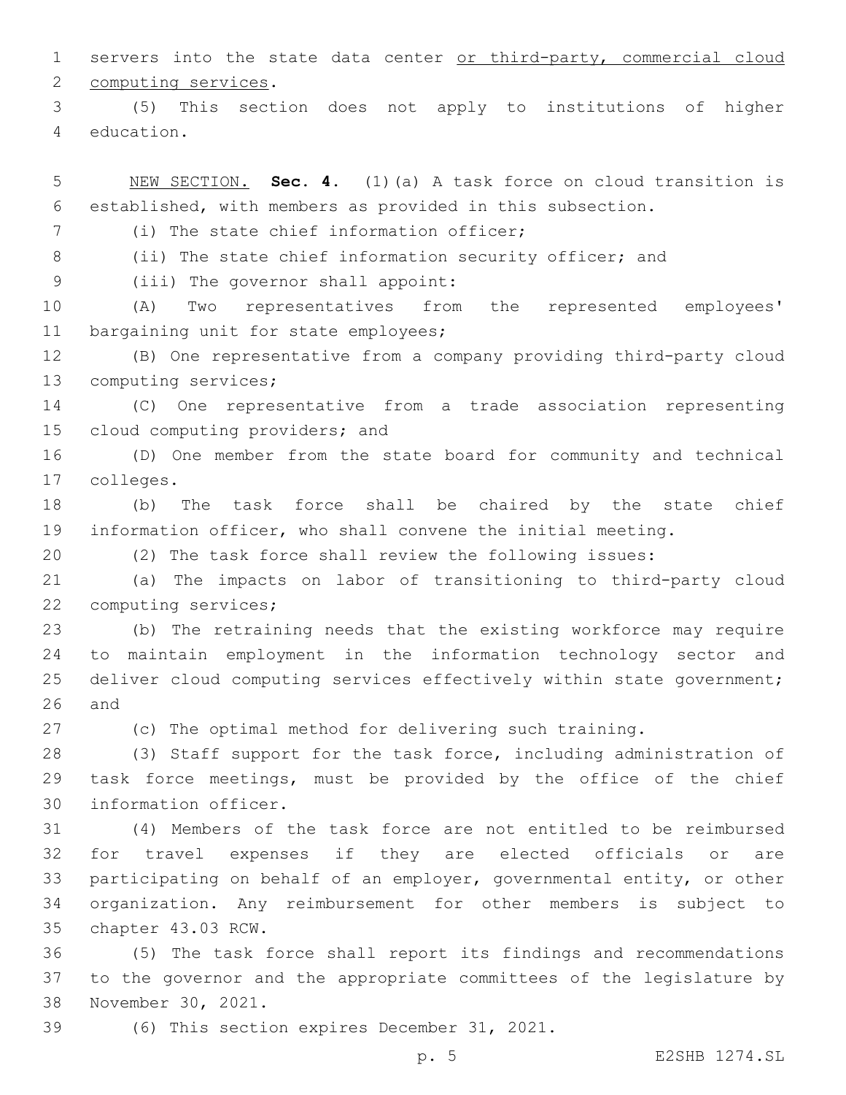1 servers into the state data center or third-party, commercial cloud 2 computing services.

3 (5) This section does not apply to institutions of higher 4 education.

5 NEW SECTION. **Sec. 4.** (1)(a) A task force on cloud transition is 6 established, with members as provided in this subsection.

(i) The state chief information officer;

8 (ii) The state chief information security officer; and

9 (iii) The governor shall appoint:

10 (A) Two representatives from the represented employees' 11 bargaining unit for state employees;

12 (B) One representative from a company providing third-party cloud 13 computing services;

14 (C) One representative from a trade association representing 15 cloud computing providers; and

16 (D) One member from the state board for community and technical colleges.17

18 (b) The task force shall be chaired by the state chief 19 information officer, who shall convene the initial meeting.

20 (2) The task force shall review the following issues:

21 (a) The impacts on labor of transitioning to third-party cloud 22 computing services;

23 (b) The retraining needs that the existing workforce may require 24 to maintain employment in the information technology sector and 25 deliver cloud computing services effectively within state government;  $26$  and

27 (c) The optimal method for delivering such training.

28 (3) Staff support for the task force, including administration of 29 task force meetings, must be provided by the office of the chief 30 information officer.

 (4) Members of the task force are not entitled to be reimbursed for travel expenses if they are elected officials or are participating on behalf of an employer, governmental entity, or other organization. Any reimbursement for other members is subject to 35 chapter 43.03 RCW.

36 (5) The task force shall report its findings and recommendations 37 to the governor and the appropriate committees of the legislature by 38 November 30, 2021.

39 (6) This section expires December 31, 2021.